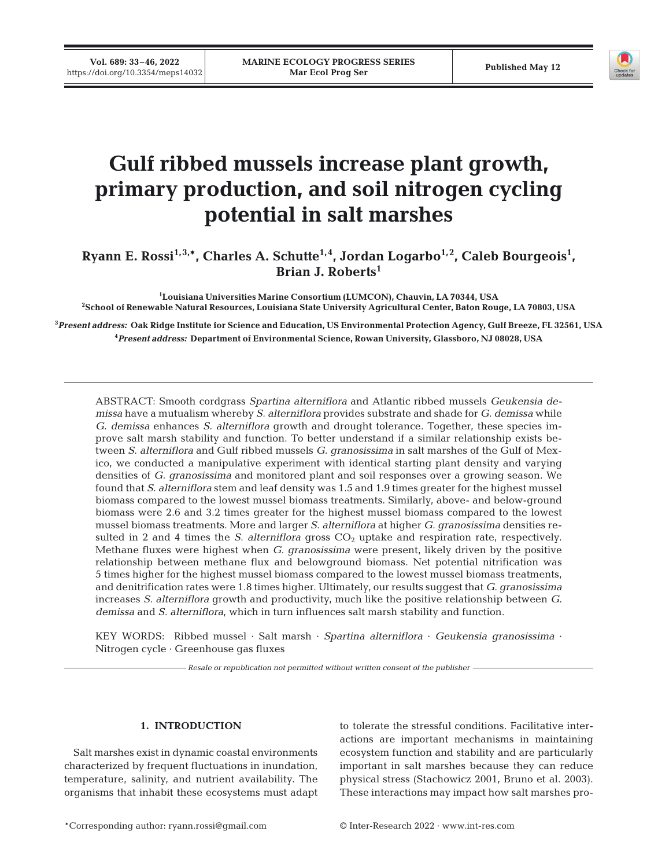

# **Gulf ribbed mussels increase plant growth, primary production, and soil nitrogen cycling potential in salt marshes**

Ryann E. Rossi<sup>1,3,\*</sup>, Charles A. Schutte<sup>1,4</sup>, Jordan Logarbo<sup>1,2</sup>, Caleb Bourgeois<sup>1</sup>, **Brian J. Roberts1** 

<sup>1</sup>Louisiana Universities Marine Consortium (LUMCON), Chauvin, LA 70344, USA **Louisiana Universities Marine Consortium (LUMCON), Chauvin, LA 70344, USA 2 School of Renewable Natural Resources, Louisiana State University Agricultural Center, Baton Rouge, LA 70803, USA** 

**3** *Present address:* **Oak Ridge Institute for Science and Education, US Environmental Protection Agency, Gulf Breeze, FL 32561, USA 4** *Present address:* **Department of Environmental Science, Rowan University, Glassboro, NJ 08028, USA**

ABSTRACT: Smooth cordgrass *Spartina alterniflora* and Atlantic ribbed mussels *Geukensia de missa* have a mutualism whereby *S. alterniflora* provides substrate and shade for *G. demissa* while *G. demissa* enhances *S. alterniflora* growth and drought tolerance. Together, these species im prove salt marsh stability and function. To better understand if a similar relationship exists be tween *S. alterniflora* and Gulf ribbed mussels *G. granosissima* in salt marshes of the Gulf of Mexico, we conducted a manipulative experiment with identical starting plant density and varying densities of *G. granosissima* and monitored plant and soil responses over a growing season. We found that *S. alterniflora* stem and leaf density was 1.5 and 1.9 times greater for the highest mussel biomass compared to the lowest mussel biomass treatments. Similarly, above- and below-ground biomass were 2.6 and 3.2 times greater for the highest mussel biomass compared to the lowest mussel biomass treatments. More and larger *S. alterniflora* at higher *G. granosissima* densities re sulted in 2 and 4 times the *S. alterniflora* gross  $CO<sub>2</sub>$  uptake and respiration rate, respectively. Methane fluxes were highest when *G. granosissima* were present, likely driven by the positive relationship between methane flux and belowground biomass. Net potential nitrification was 5 times higher for the highest mussel biomass compared to the lowest mussel biomass treatments, and denitrification rates were 1.8 times higher. Ultimately, our results suggest that *G. granosissima* in creases *S. alterniflora* growth and productivity, much like the positive relationship between *G. demissa* and *S. alterniflora*, which in turn influences salt marsh stability and function.

KEY WORDS: Ribbed mussel · Salt marsh · *Spartina alterniflora* · *Geukensia granosissima* · Nitrogen cycle · Greenhouse gas fluxes

*Resale or republication not permitted without written consent of the publisher*

## **1. INTRODUCTION**

Salt marshes exist in dynamic coastal environments characterized by frequent fluctuations in inundation, temperature, salinity, and nutrient availability. The organisms that inhabit these ecosystems must adapt to tolerate the stressful conditions. Facilitative inter actions are important mechanisms in maintaining ecosystem function and stability and are particularly important in salt marshes because they can reduce physical stress (Stachowicz 2001, Bruno et al. 2003). These interactions may impact how salt marshes pro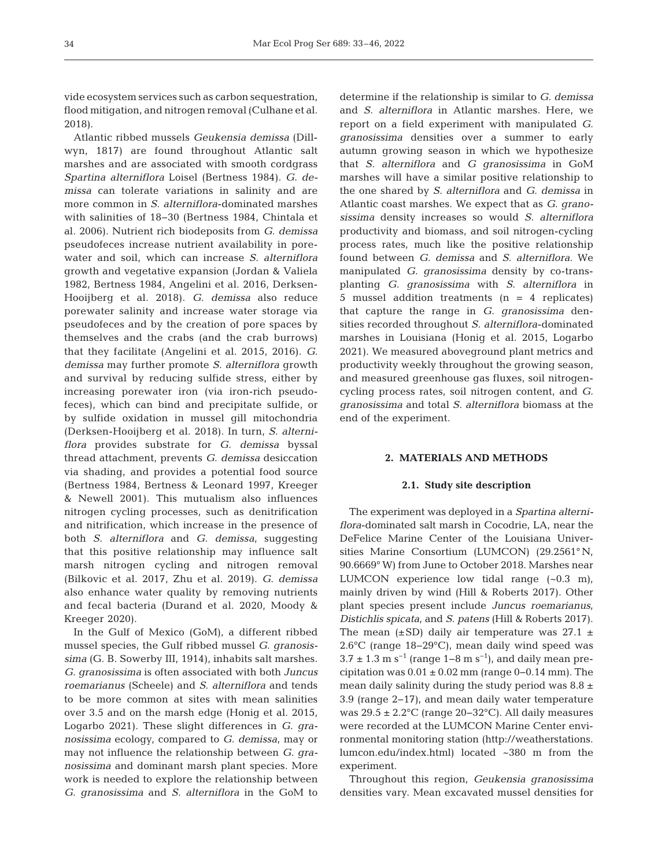vide ecosystem services such as carbon sequestration, flood mitigation, and nitrogen removal (Culhane et al. 2018).

Atlantic ribbed mussels *Geukensia demissa* (Dillwyn, 1817) are found throughout Atlantic salt marshes and are associated with smooth cordgrass *Spar tina alterniflora* Loisel (Bertness 1984). *G. de missa* can tolerate variations in salinity and are more common in *S. alterniflora*-dominated marshes with salinities of 18−30 (Bertness 1984, Chintala et al. 2006). Nutrient rich bio deposits from *G. demissa* pseudofeces increase nutrient availability in porewater and soil, which can increase *S. alterniflora* growth and vegetative expansion (Jordan & Valiela 1982, Bertness 1984, Angelini et al. 2016, Derksen-Hooijberg et al. 2018). *G. demissa* also reduce porewater salinity and increase water storage via pseudofeces and by the creation of pore spaces by themselves and the crabs (and the crab burrows) that they facilitate (Angelini et al. 2015, 2016). *G. demissa* may further promote *S. alterniflora* growth and survival by reducing sulfide stress, either by increasing porewater iron (via iron-rich pseudofeces), which can bind and precipitate sulfide, or by sulfide oxidation in mussel gill mitochondria (Derksen-Hooijberg et al. 2018). In turn, *S. alterniflora* provides substrate for *G. demissa* byssal thread attachment, prevents *G. demissa* desiccation via shading, and provides a potential food source (Bertness 1984, Bertness & Leonard 1997, Kreeger & Newell 2001). This mutualism also influences nitrogen cy cling processes, such as denitrification and nitrification, which increase in the presence of both *S. alterniflora* and *G. demissa*, suggesting that this positive relationship may influence salt marsh nitrogen cycling and nitrogen removal (Bilkovic et al. 2017, Zhu et al. 2019). *G. demissa* also enhance water quality by removing nutrients and fecal bacteria (Durand et al. 2020, Moody & Kreeger 2020).

In the Gulf of Mexico (GoM), a different ribbed mussel species, the Gulf ribbed mussel *G. granosissima* (G. B. Sowerby III, 1914), inhabits salt marshes. *G. granosissima* is often associated with both *Juncus roemarianus* (Scheele) and *S. alterniflora* and tends to be more common at sites with mean salinities over 3.5 and on the marsh edge (Honig et al. 2015, Logarbo 2021). These slight differences in *G. granosissima* ecology, compared to *G. demissa*, may or may not influence the relationship between *G. granosissima* and dominant marsh plant species. More work is needed to explore the relationship between *G. granosissima* and *S. alterniflora* in the GoM to

determine if the relationship is similar to *G. demissa* and *S. alterniflora* in Atlantic marshes. Here, we report on a field experiment with manipulated *G. granosissima* densities over a summer to early autumn growing season in which we hypothesize that *S. alterniflora* and *G granosissima* in GoM marshes will have a similar positive relationship to the one shared by *S. alterniflora* and *G. demissa* in Atlantic coast marshes. We expect that as *G. grano sis sima* density increases so would *S. alterniflora* productivity and biomass, and soil nitrogen-cycling process rates, much like the positive relationship found between *G. demissa* and *S. alterniflora*. We manipulated *G. granosissima* density by co-transplanting *G. granosissima* with *S. alterniflora* in 5 mussel addition treatments (n = 4 replicates) that capture the range in *G. granosissima* densities recorded throughout *S. alterniflora*-dominated marshes in Louisiana (Honig et al. 2015, Logarbo 2021). We measured aboveground plant metrics and productivity weekly throughout the growing season, and measured greenhouse gas fluxes, soil nitrogencycling process rates, soil nitrogen content, and *G. granosissima* and total *S. alterniflora* biomass at the end of the experiment.

## **2. MATERIALS AND METHODS**

#### **2.1. Study site description**

The experiment was deployed in a *Spartina alterniflora*-dominated salt marsh in Cocodrie, LA, near the DeFelice Marine Center of the Louisiana Universities Marine Consortium (LUMCON) (29.2561° N, 90.6669° W) from June to October 2018. Marshes near LUMCON experience low tidal range (~0.3 m), mainly driven by wind (Hill & Roberts 2017). Other plant species present include *Juncus roemarianus*, *Distichlis spicata*, and *S. patens* (Hill & Roberts 2017). The mean  $(\pm SD)$  daily air temperature was 27.1  $\pm$ 2.6°C (range 18−29°C), mean daily wind speed was  $3.7 \pm 1.3$  m s<sup>-1</sup> (range 1–8 m s<sup>-1</sup>), and daily mean precipitation was  $0.01 \pm 0.02$  mm (range 0–0.14 mm). The mean daily salinity during the study period was  $8.8 \pm$ 3.9 (range 2−17), and mean daily water temperature was 29.5 ± 2.2°C (range 20−32°C). All daily measures were recorded at the LUMCON Marine Center environmental monitoring station (http://weatherstations. lumcon.edu/index.html) located ~380 m from the experiment.

Throughout this region, *Geukensia granosissima* densities vary. Mean excavated mussel densities for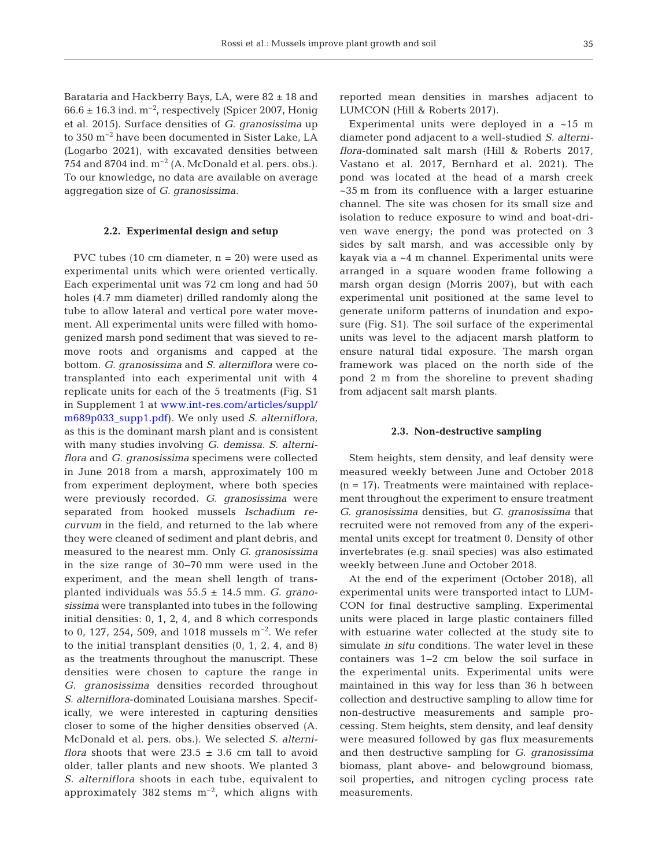Barataria and Hackberry Bays, LA, were 82 ± 18 and  $66.6 \pm 16.3$  ind. m<sup>-2</sup>, respectively (Spicer 2007, Honig et al. 2015). Surface densities of *G. granosissima* up to 350 m−2 have been documented in Sister Lake, LA (Logarbo 2021), with excavated densities between 754 and 8704 ind. m−2 (A. McDonald et al. pers. obs.). To our knowledge, no data are available on average aggregation size of *G. granosissima*.

## **2.2. Experimental design and setup**

PVC tubes (10 cm diameter,  $n = 20$ ) were used as experimental units which were oriented vertically. Each experimental unit was 72 cm long and had 50 holes (4.7 mm diameter) drilled randomly along the tube to allow lateral and vertical pore water movement. All experimental units were filled with homogenized marsh pond sediment that was sieved to re move roots and organisms and capped at the bottom. *G. granosissima* and *S. alterniflora* were cotransplanted into each experimental unit with 4 replicate units for each of the 5 treatments (Fig. S1 in Supplement 1 at [www.int-res.com/articles/suppl/](https://www.int-res.com/articles/suppl/m689p033_supp1.pdf) [m689p033\\_supp1.pdf](https://www.int-res.com/articles/suppl/m689p033_supp1.pdf)). We only used *S. alterniflora*, as this is the dominant marsh plant and is consistent with many studies involving *G. demissa*. *S. alterniflora* and *G. granosissima* specimens were collected in June 2018 from a marsh, approximately 100 m from experiment deployment, where both species were previously recorded. *G. granosissima* were separated from hooked mussels *Ischadium re curvum* in the field, and returned to the lab where they were cleaned of sediment and plant debris, and measured to the nearest mm. Only *G. granosissima* in the size range of 30−70 mm were used in the experiment, and the mean shell length of transplanted individuals was 55.5 ± 14.5 mm. *G. grano sis sima* were transplanted into tubes in the following initial densities: 0, 1, 2, 4, and 8 which corresponds to 0, 127, 254, 509, and 1018 mussels m−2. We refer to the initial transplant densities (0, 1, 2, 4, and 8) as the treatments throughout the manuscript. These densities were chosen to capture the range in *G. granosissima* densities recorded throughout *S. alterniflora*-dominated Louisiana marshes. Specifically, we were interested in capturing densities closer to some of the higher densities observed (A. Mc Donald et al. pers. obs.). We selected *S. alterniflora* shoots that were  $23.5 \pm 3.6$  cm tall to avoid older, taller plants and new shoots. We planted 3 *S. alterniflora* shoots in each tube, equivalent to approximately 382 stems m−2, which aligns with

reported mean densities in marshes adjacent to LUMCON (Hill & Roberts 2017).

Experimental units were deployed in a ~15 m diameter pond adjacent to a well-studied *S. alterniflora*-dominated salt marsh (Hill & Roberts 2017, Vastano et al. 2017, Bernhard et al. 2021). The pond was located at the head of a marsh creek ~35 m from its confluence with a larger estuarine channel. The site was chosen for its small size and isolation to reduce exposure to wind and boat-driven wave energy; the pond was protected on 3 sides by salt marsh, and was accessible only by kayak via a ~4 m channel. Experimental units were arranged in a square wooden frame following a marsh organ design (Morris 2007), but with each experimental unit positioned at the same level to generate uniform patterns of inundation and exposure (Fig. S1). The soil surface of the experimental units was level to the adjacent marsh platform to ensure natural tidal exposure. The marsh organ framework was placed on the north side of the pond 2 m from the shoreline to prevent shading from adjacent salt marsh plants.

#### **2.3. Non-destructive sampling**

Stem heights, stem density, and leaf density were measured weekly between June and October 2018  $(n = 17)$ . Treatments were maintained with replacement throughout the experiment to ensure treatment *G. granosissima* densities, but *G. granosissima* that re cruited were not removed from any of the experimental units except for treatment 0. Density of other invertebrates (e.g. snail species) was also estimated weekly between June and October 2018.

At the end of the experiment (October 2018), all experimental units were transported intact to LUM-CON for final destructive sampling. Experimental units were placed in large plastic containers filled with estuarine water collected at the study site to simulate *in situ* conditions. The water level in these containers was 1−2 cm below the soil surface in the experimental units. Experimental units were maintained in this way for less than 36 h between collection and destructive sampling to allow time for non-destructive measurements and sample processing. Stem heights, stem density, and leaf density were measured followed by gas flux measurements and then destructive sampling for *G. granosissima* biomass, plant above- and belowground biomass, soil properties, and nitrogen cycling process rate measurements.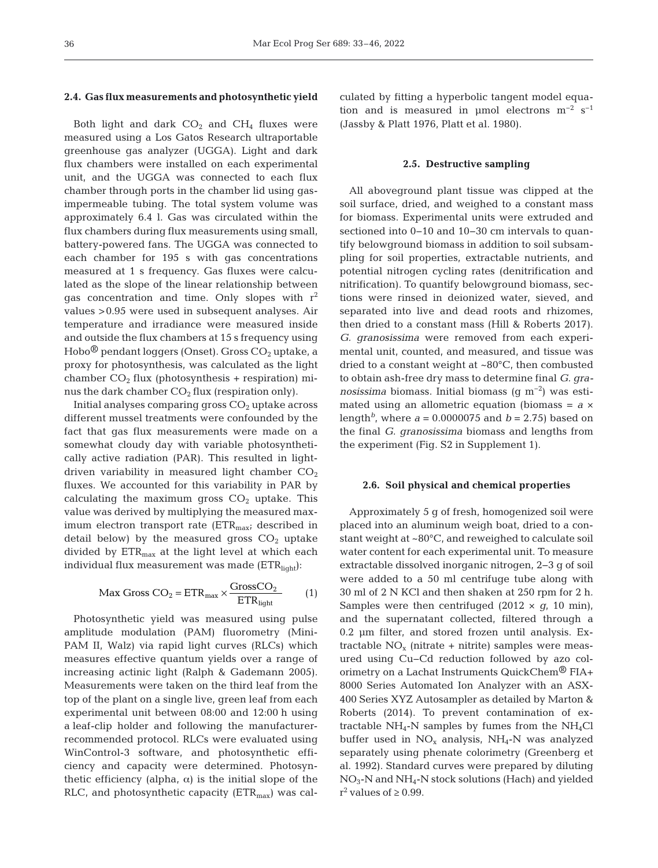#### **2.4. Gas flux measurements and photosynthetic yield**

Both light and dark  $CO<sub>2</sub>$  and  $CH<sub>4</sub>$  fluxes were measured using a Los Gatos Research ultraportable greenhouse gas analyzer (UGGA). Light and dark flux chambers were installed on each experimental unit, and the UGGA was connected to each flux chamber through ports in the chamber lid using gasimpermeable tubing. The total system volume was approximately 6.4 l. Gas was circulated within the flux chambers during flux measurements using small, battery-powered fans. The UGGA was connected to each chamber for 195 s with gas concentrations measured at 1 s frequency. Gas fluxes were calculated as the slope of the linear relationship between gas concentration and time. Only slopes with  $r^2$ values >0.95 were used in subsequent analyses. Air temperature and irradiance were measured inside and outside the flux chambers at 15 s frequency using Hobo $\mathcal{P}$  pendant loggers (Onset). Gross CO<sub>2</sub> uptake, a proxy for photosynthesis, was calculated as the light chamber  $CO<sub>2</sub>$  flux (photosynthesis + respiration) minus the dark chamber  $CO<sub>2</sub>$  flux (respiration only).

Initial analyses comparing gross  $CO<sub>2</sub>$  uptake across different mussel treatments were confounded by the fact that gas flux measurements were made on a somewhat cloudy day with variable photosynthetically active radiation (PAR). This resulted in lightdriven variability in measured light chamber  $CO<sub>2</sub>$ fluxes. We accounted for this variability in PAR by calculating the maximum gross  $CO<sub>2</sub>$  uptake. This value was derived by multiplying the measured maximum electron transport rate  $(ETR<sub>max</sub>;$  described in detail below) by the measured gross  $CO<sub>2</sub>$  uptake divided by  $ETR<sub>max</sub>$  at the light level at which each individual flux measurement was made  $(ETR<sub>light</sub>)$ :

$$
Max Gross CO_2 = ETR_{max} \times \frac{GrossCO_2}{ETR_{light}} \tag{1}
$$

Photosynthetic yield was measured using pulse amplitude modulation (PAM) fluorometry (Mini-PAM II, Walz) via rapid light curves (RLCs) which measures effective quantum yields over a range of increasing actinic light (Ralph & Gademann 2005). Measurements were taken on the third leaf from the top of the plant on a single live, green leaf from each ex perimental unit between 08:00 and 12:00 h using a leaf-clip holder and following the manufacturerrecommended protocol. RLCs were evaluated using WinControl-3 software, and photosynthetic efficiency and capacity were determined. Photosynthetic efficiency (alpha,  $α$ ) is the initial slope of the RLC, and photosynthetic capacity  $(ETR<sub>max</sub>)$  was calculated by fitting a hyperbolic tangent model equation and is measured in µmol electrons  $m^{-2} s^{-1}$ (Jassby & Platt 1976, Platt et al. 1980).

#### **2.5. Destructive sampling**

All aboveground plant tissue was clipped at the soil surface, dried, and weighed to a constant mass for biomass. Experimental units were extruded and sectioned into 0−10 and 10−30 cm intervals to quantify belowground biomass in addition to soil subsampling for soil properties, extractable nutrients, and potential nitrogen cycling rates (denitrification and nitrification). To quantify belowground biomass, sections were rinsed in deionized water, sieved, and separated into live and dead roots and rhizomes, then dried to a constant mass (Hill & Roberts 2017). *G. granosissima* were removed from each experimental unit, counted, and measured, and tissue was dried to a constant weight at ~80°C, then combusted to obtain ash-free dry mass to determine final *G. granosissima* biomass. Initial biomass (g m−2) was estimated using an allometric equation (biomass = *a* × length<sup>b</sup>, where  $a = 0.0000075$  and  $b = 2.75$ ) based on the final *G. granosissima* biomass and lengths from the experiment (Fig. S2 in Supplement 1).

#### **2.6. Soil physical and chemical properties**

Approximately 5 g of fresh, homogenized soil were placed into an aluminum weigh boat, dried to a constant weight at ~80°C, and reweighed to calculate soil water content for each experimental unit. To measure extractable dissolved inorganic nitrogen, 2−3 g of soil were added to a 50 ml centrifuge tube along with 30 ml of 2 N KCl and then shaken at 250 rpm for 2 h. Samples were then centrifuged  $(2012 \times g, 10 \text{ min})$ , and the supernatant collected, filtered through a 0.2 μm filter, and stored frozen until analysis. Extractable  $NO<sub>x</sub>$  (nitrate + nitrite) samples were measured using Cu−Cd reduction followed by azo colorimetry on a Lachat Instruments QuickChem® FIA+ 8000 Series Automated Ion Analyzer with an ASX-400 Series XYZ Autosampler as detailed by Marton & Roberts (2014). To prevent contamination of extractable  $NH_4$ -N samples by fumes from the  $NH_4Cl$ buffer used in  $NO<sub>x</sub>$  analysis,  $NH<sub>4</sub>-N$  was analyzed separately using phenate colorimetry (Greenberg et al. 1992). Standard curves were prepared by diluting  $NO<sub>3</sub>$ -N and NH<sub>4</sub>-N stock solutions (Hach) and yielded r<sup>2</sup> values of  $\geq$  0.99.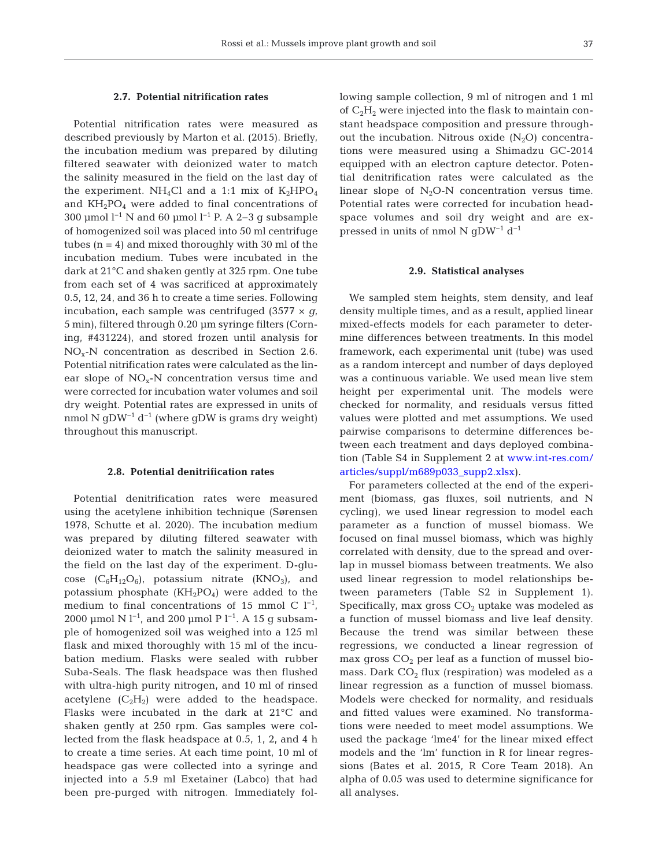#### **2.7. Potential nitrification rates**

Potential nitrification rates were measured as described previously by Marton et al. (2015). Briefly, the incubation medium was prepared by diluting filtered seawater with deionized water to match the salinity measured in the field on the last day of the experiment. NH<sub>4</sub>Cl and a 1:1 mix of  $K_2HPO_4$ and  $KH_2PO_4$  were added to final concentrations of 300 µmol  $l^{-1}$  N and 60 µmol  $l^{-1}$  P. A 2–3 g subsample of homogenized soil was placed into 50 ml centrifuge tubes  $(n = 4)$  and mixed thoroughly with 30 ml of the incubation medium. Tubes were incubated in the dark at 21°C and shaken gently at 325 rpm. One tube from each set of 4 was sacrificed at approximately 0.5, 12, 24, and 36 h to create a time series. Following incubation, each sample was centrifuged  $(3577 \times g,$ 5 min), filtered through 0.20 μm syringe filters (Corning, #431224), and stored frozen until analysis for NOx-N concentration as described in Section 2.6. Potential nitrification rates were calculated as the linear slope of  $NO<sub>x</sub>$ -N concentration versus time and were corrected for incubation water volumes and soil dry weight. Potential rates are expressed in units of nmol N gDW−1 d−1 (where gDW is grams dry weight) throughout this manuscript.

#### **2.8. Potential denitrification rates**

Potential denitrification rates were measured using the acetylene inhibition technique (Sørensen 1978, Schutte et al. 2020). The incubation medium was prepared by diluting filtered seawater with deionized water to match the salinity measured in the field on the last day of the experiment. D-glucose  $(C_6H_{12}O_6)$ , potassium nitrate  $(KNO_3)$ , and potassium phosphate  $(KH_2PO_4)$  were added to the medium to final concentrations of 15 mmol C  $l^{-1}$ , 2000 μmol N  $l^{-1}$ , and 200 μmol P  $l^{-1}$ . A 15 g subsample of homogenized soil was weighed into a 125 ml flask and mixed thoroughly with 15 ml of the incubation medium. Flasks were sealed with rubber Suba-Seals. The flask headspace was then flushed with ultra-high purity nitrogen, and 10 ml of rinsed acetylene  $(C_2H_2)$  were added to the headspace. Flasks were incubated in the dark at 21°C and shaken gently at 250 rpm. Gas samples were collected from the flask headspace at 0.5, 1, 2, and 4 h to create a time series. At each time point, 10 ml of headspace gas were collected into a syringe and injected into a 5.9 ml Exetainer (Labco) that had been pre-purged with nitrogen. Immediately following sample collection, 9 ml of nitrogen and 1 ml of  $C_2H_2$  were injected into the flask to maintain constant headspace composition and pressure throughout the incubation. Nitrous oxide  $(N_2O)$  concentrations were measured using a Shimadzu GC-2014 equipped with an electron capture detector. Potential denitrification rates were calculated as the linear slope of  $N_2O-N$  concentration versus time. Potential rates were corrected for incubation headspace volumes and soil dry weight and are expressed in units of nmol N qDW<sup>-1</sup> d<sup>-1</sup>

#### **2.9. Statistical analyses**

We sampled stem heights, stem density, and leaf density multiple times, and as a result, applied linear mixed-effects models for each parameter to determine differences between treatments. In this model framework, each experimental unit (tube) was used as a random intercept and number of days deployed was a continuous variable. We used mean live stem height per experimental unit. The models were checked for normality, and residuals versus fitted values were plotted and met assumptions. We used pairwise comparisons to determine differences be tween each treatment and days deployed combination (Table S4 in Supplement 2 at [www.int-res.com/](https://www.int-res.com/articles/suppl/m689p033_supp2.xlsx) [articles/suppl/m689p033\\_supp2.xlsx](https://www.int-res.com/articles/suppl/m689p033_supp2.xlsx)).

For parameters collected at the end of the experiment (biomass, gas fluxes, soil nutrients, and N cycling), we used linear regression to model each para meter as a function of mussel biomass. We focused on final mussel biomass, which was highly correlated with density, due to the spread and overlap in mussel biomass between treatments. We also used linear regression to model relationships be tween parameters (Table S2 in Supplement 1). Specifically, max gross  $CO<sub>2</sub>$  uptake was modeled as a function of mussel biomass and live leaf density. Because the trend was similar between these regressions, we conducted a linear regression of max gross  $CO<sub>2</sub>$  per leaf as a function of mussel biomass. Dark  $CO<sub>2</sub>$  flux (respiration) was modeled as a linear regression as a function of mussel biomass. Models were checked for normality, and residuals and fitted values were examined. No transformations were needed to meet model assumptions. We used the package 'lme4' for the linear mixed effect models and the 'lm' function in R for linear regressions (Bates et al. 2015, R Core Team 2018). An alpha of 0.05 was used to determine significance for all analyses.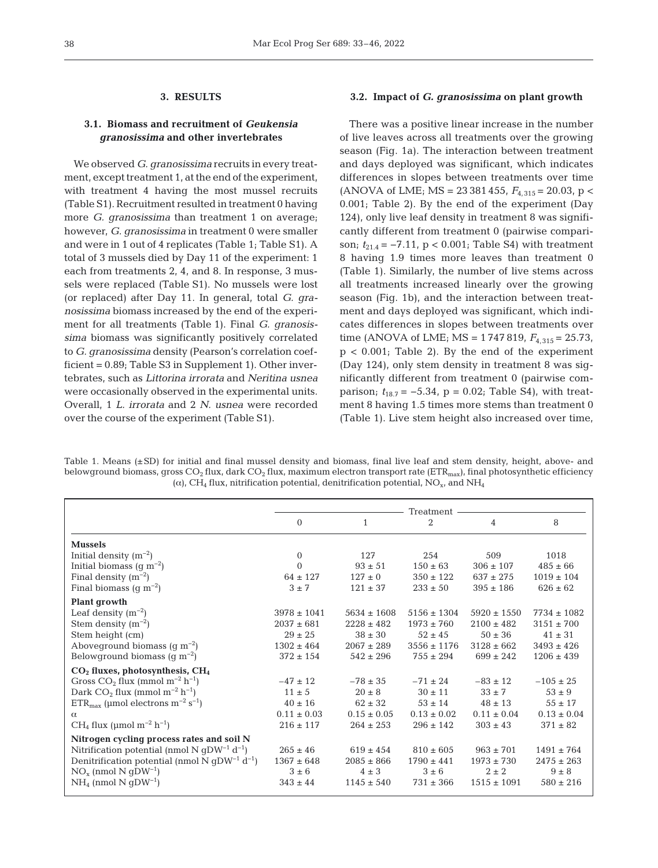## **3. RESULTS**

# **3.1. Biomass and recruitment of** *Geukensia granosissima* **and other invertebrates**

We observed *G. granosissima* recruits in every treatment, except treatment 1, at the end of the experiment, with treatment 4 having the most mussel recruits (Table S1). Recruitment resulted in treatment 0 having more *G. granosissima* than treatment 1 on average; however, *G. granosissima* in treatment 0 were smaller and were in 1 out of 4 replicates (Table 1; Table S1). A total of 3 mussels died by Day 11 of the experiment: 1 each from treatments 2, 4, and 8. In response, 3 mussels were replaced (Table S1). No mussels were lost (or replaced) after Day 11. In general, total *G. granosissima* biomass in creased by the end of the experiment for all treatments (Table 1). Final *G. granosissima* biomass was significantly positively correlated to *G. granosissima* density (Pearson's correlation coefficient = 0.89; Table S3 in Supplement 1). Other invertebrates, such as *Littorina irrorata* and *Neritina usnea* were occasionally observed in the experimental units. Overall, 1 *L. irrorata* and 2 *N. usnea* were recorded over the course of the experiment (Table S1).

#### **3.2. Impact of** *G. granosissima* **on plant growth**

There was a positive linear increase in the number of live leaves across all treatments over the growing season (Fig. 1a). The interaction between treatment and days deployed was significant, which indicates differences in slopes between treatments over time (ANOVA of LME; MS =  $23\,381\,455$ ,  $F_{4,315} = 20.03$ , p < 0.001; Table 2). By the end of the experiment (Day 124), only live leaf density in treatment 8 was significantly different from treatment 0 (pairwise comparison;  $t_{21.4}$  = −7.11, p < 0.001; Table S4) with treatment 8 having 1.9 times more leaves than treatment 0 (Table 1). Similarly, the number of live stems across all treatments increased linearly over the growing season (Fig. 1b), and the interaction between treatment and days deployed was significant, which indicates differences in slopes between treatments over time (ANOVA of LME; MS =  $1747819$ ,  $F_{4,315} = 25.73$ ,  $p < 0.001$ ; Table 2). By the end of the experiment (Day 124), only stem density in treatment 8 was significantly different from treatment 0 (pairwise comparison;  $t_{18.7} = -5.34$ ,  $p = 0.02$ ; Table S4), with treatment 8 having 1.5 times more stems than treatment 0 (Table 1). Live stem height also increased over time,

Table 1. Means (±SD) for initial and final mussel density and biomass, final live leaf and stem density, height, above- and below ground biomass, gross  $CO_2$  flux, dark  $CO_2$  flux, maximum electron transport rate (ETR<sub>max</sub>), final photosynthetic efficiency ( $\alpha$ ), CH<sub>4</sub> flux, nitrification potential, denitrification potential, NO<sub>x</sub>, and NH<sub>4</sub>

|                                                                      | Treatment       |                 |                 |                 |                 |
|----------------------------------------------------------------------|-----------------|-----------------|-----------------|-----------------|-----------------|
|                                                                      | $\Omega$        | $\mathbf{1}$    | $\overline{2}$  | 4               | 8               |
| <b>Mussels</b>                                                       |                 |                 |                 |                 |                 |
| Initial density $(m^{-2})$                                           | $\Omega$        | 127             | 254             | 509             | 1018            |
| Initial biomass $(g m^{-2})$                                         | $\Omega$        | $93 \pm 51$     | $150 \pm 63$    | $306 \pm 107$   | $485 \pm 66$    |
| Final density $(m^{-2})$                                             | $64 \pm 127$    | $127 \pm 0$     | $350 \pm 122$   | $637 \pm 275$   | $1019 \pm 104$  |
| Final biomass $(q m^{-2})$                                           | $3 \pm 7$       | $121 \pm 37$    | $233 \pm 50$    | $395 \pm 186$   | $626 \pm 62$    |
| Plant growth                                                         |                 |                 |                 |                 |                 |
| Leaf density $(m^{-2})$                                              | $3978 \pm 1041$ | $5634 \pm 1608$ | $5156 \pm 1304$ | $5920 \pm 1550$ | $7734 \pm 1082$ |
| Stem density $(m^{-2})$                                              | $2037 \pm 681$  | $2228 \pm 482$  | $1973 \pm 760$  | $2100 \pm 482$  | $3151 \pm 700$  |
| Stem height (cm)                                                     | $29 \pm 25$     | $38 \pm 30$     | $52 \pm 45$     | $50 \pm 36$     | $41 \pm 31$     |
| Aboveground biomass $(g m^{-2})$                                     | $1302 \pm 464$  | $2067 \pm 289$  | $3556 \pm 1176$ | $3128 \pm 662$  | $3493 \pm 426$  |
| Belowground biomass $(g m^{-2})$                                     | $372 \pm 154$   | $542 \pm 296$   | $755 \pm 294$   | $699 \pm 242$   | $1206 \pm 439$  |
| $CO2$ fluxes, photosynthesis, $CH4$                                  |                 |                 |                 |                 |                 |
| Gross $CO_2$ flux (mmol m <sup>-2</sup> h <sup>-1</sup> )            | $-47 \pm 12$    | $-78 \pm 35$    | $-71 \pm 24$    | $-83 \pm 12$    | $-105 \pm 25$   |
| Dark $CO2$ flux (mmol m <sup>-2</sup> h <sup>-1</sup> )              | $11 \pm 5$      | $20 \pm 8$      | $30 \pm 11$     | $33 \pm 7$      | $53 \pm 9$      |
| $ETR_{\text{max}}$ (µmol electrons m <sup>-2</sup> s <sup>-1</sup> ) | $40 \pm 16$     | $62 \pm 32$     | $53 \pm 14$     | $48 \pm 13$     | $55 \pm 17$     |
| $\alpha$                                                             | $0.11 \pm 0.03$ | $0.15 \pm 0.05$ | $0.13 \pm 0.02$ | $0.11 \pm 0.04$ | $0.13 \pm 0.04$ |
| $CH4$ flux (µmol m <sup>-2</sup> h <sup>-1</sup> )                   | $216 \pm 117$   | $264 \pm 253$   | $296 \pm 142$   | $303 \pm 43$    | $371 \pm 82$    |
| Nitrogen cycling process rates and soil N                            |                 |                 |                 |                 |                 |
| Nitrification potential (nmol N qDW <sup>-1</sup> d <sup>-1</sup> )  | $265 \pm 46$    | $619 \pm 454$   | $810 \pm 605$   | $963 \pm 701$   | $1491 \pm 764$  |
| Denitrification potential (nmol N $qDW^{-1}$ d <sup>-1</sup> )       | $1367 \pm 648$  | $2085 \pm 866$  | $1790 \pm 441$  | $1973 \pm 730$  | $2475 \pm 263$  |
| $NOx$ (nmol N gDW <sup>-1</sup> )                                    | $3 \pm 6$       | $4 \pm 3$       | $3 \pm 6$       | $2 \pm 2$       | $9 \pm 8$       |
| $NH_4$ (nmol N qDW <sup>-1</sup> )                                   | $343 \pm 44$    | $1145 \pm 540$  | $731 \pm 366$   | $1515 \pm 1091$ | $580 \pm 216$   |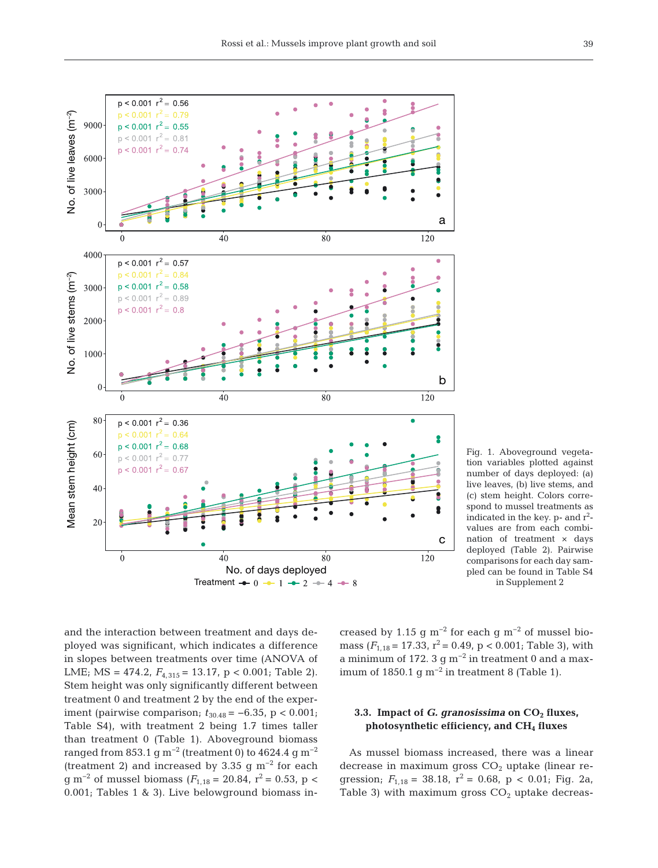

Fig. 1. Aboveground vegetation variables plotted against number of days deployed: (a) live leaves, (b) live stems, and (c) stem height. Colors correspond to mussel treatments as indicated in the key.  $p$ - and  $r^2$ values are from each combination of treatment × days deployed (Table 2). Pairwise comparisons for each day sampled can be found in Table S4 in Supplement 2

and the interaction between treatment and days de ployed was significant, which indicates a difference in slopes between treatments over time (ANOVA of LME; MS = 474.2,  $F_{4,315}$  = 13.17, p < 0.001; Table 2). Stem height was only significantly different between treatment 0 and treatment 2 by the end of the experiment (pairwise comparison;  $t_{30.48}$  = −6.35, p < 0.001; Table S4), with treatment 2 being 1.7 times taller than treatment 0 (Table 1). Aboveground biomass ranged from 853.1 g m<sup>-2</sup> (treatment 0) to 4624.4 g m<sup>-2</sup> (treatment 2) and increased by 3.35 g  $m^{-2}$  for each g m<sup>-2</sup> of mussel biomass ( $F$ <sub>1,18</sub> = 20.84, r<sup>2</sup> = 0.53, p < 0.001; Tables 1 & 3). Live belowground biomass in - creased by 1.15 g m<sup>-2</sup> for each g m<sup>-2</sup> of mussel biomass  $(F_{1,18} = 17.33, r^2 = 0.49, p < 0.001$ ; Table 3), with a minimum of 172. 3 g m<sup>-2</sup> in treatment 0 and a maximum of 1850.1 g m<sup>-2</sup> in treatment 8 (Table 1).

# **3.3. Impact of** *G. granosissima* on CO<sub>2</sub> fluxes, **photosynthetic efficiency, and CH4 fluxes**

As mussel biomass increased, there was a linear decrease in maximum gross  $CO<sub>2</sub>$  uptake (linear regression;  $F_{1,18} = 38.18$ ,  $r^2 = 0.68$ ,  $p < 0.01$ ; Fig. 2a, Table 3) with maximum gross  $CO<sub>2</sub>$  uptake decreas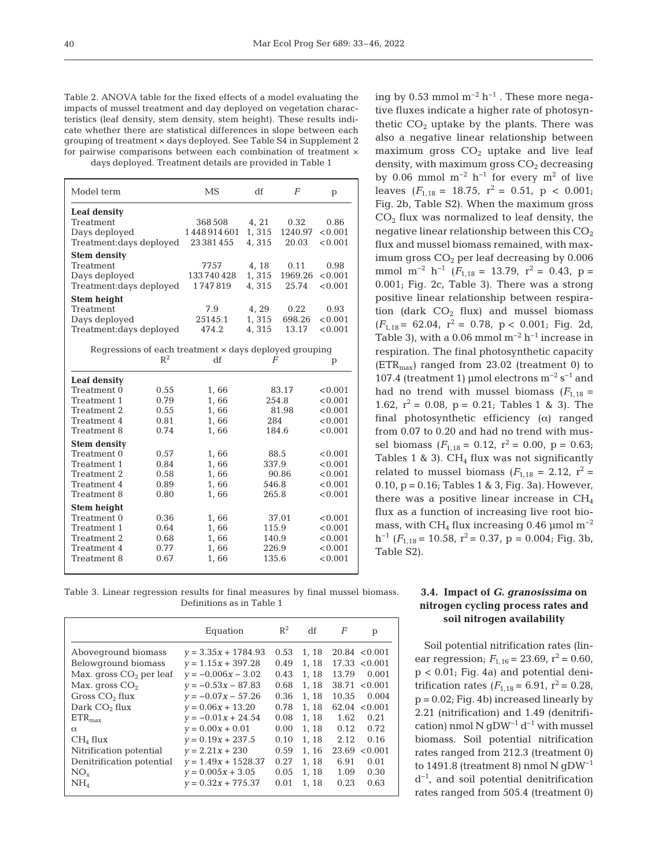Table 2. ANOVA table for the fixed effects of a model evaluating the impacts of mussel treatment and day deployed on vegetation characteristics (leaf density, stem density, stem height). These results indicate whether there are statistical differences in slope between each grouping of treatment × days deployed. See Table S4 in Supplement 2 for pairwise comparisons between each combination of treatment × days deployed. Treatment details are provided in Table 1

| Model term                                             | MS         | df    | F       | р       |  |
|--------------------------------------------------------|------------|-------|---------|---------|--|
| Leaf density                                           |            |       |         |         |  |
| Treatment                                              | 368 508    | 4, 21 | 0.32    | 0.86    |  |
| Days deployed                                          | 1448914601 | 1.315 | 1240.97 | < 0.001 |  |
| Treatment: days deployed                               | 23381455   | 4.315 | 20.03   | < 0.001 |  |
| <b>Stem density</b>                                    |            |       |         |         |  |
| Treatment                                              | 7757       | 4, 18 | 0.11    | 0.98    |  |
| Days deployed                                          | 133740428  | 1,315 | 1969.26 | < 0.001 |  |
| Treatment: days deployed                               | 1747819    | 4.315 | 25.74   | < 0.001 |  |
| Stem height                                            |            |       |         |         |  |
| Treatment                                              | 7.9        | 4, 29 | 0.22    | 0.93    |  |
| Days deployed                                          | 25145.1    | 1,315 | 698.26  | < 0.001 |  |
| Treatment: days deployed                               | 474.2      | 4,315 | 13.17   | < 0.001 |  |
| Regressions of each treatment x days deployed grouping |            |       |         |         |  |

| Leaf density<br>Treatment 0<br>0.55<br>1,66<br>83.17<br>0.79<br>254.8<br>Treatment 1<br>1,66<br>0.55<br>1,66<br>81.98<br>Treatment 2<br>0.81<br>1,66<br>284<br>Treatment 4<br>0.74<br>1,66<br>184.6<br>Treatment 8<br><b>Stem density</b><br>0.57<br>1,66<br>88.5<br>Treatment 0<br>1,66<br>337.9<br>Treatment 1<br>0.84<br>90.86<br>0.58<br>1,66<br>Treatment 2<br>0.89<br>1,66<br>546.8<br>Treatment 4<br>265.8<br>Treatment 8<br>0.80<br>1,66<br>Stem height<br>0.36<br>37.01<br>Treatment 0<br>1,66<br>0.64<br>1,66<br>115.9<br>Treatment 1<br>0.68<br>1,66<br>140.9<br>Treatment 2<br>1,66<br>226.9<br>0.77<br>Treatment 4<br>135.6<br>Treatment 8<br>0.67<br>1,66 | $R^2$ | df | F | р       |
|-------------------------------------------------------------------------------------------------------------------------------------------------------------------------------------------------------------------------------------------------------------------------------------------------------------------------------------------------------------------------------------------------------------------------------------------------------------------------------------------------------------------------------------------------------------------------------------------------------------------------------------------------------------------------|-------|----|---|---------|
|                                                                                                                                                                                                                                                                                                                                                                                                                                                                                                                                                                                                                                                                         |       |    |   |         |
|                                                                                                                                                                                                                                                                                                                                                                                                                                                                                                                                                                                                                                                                         |       |    |   | < 0.001 |
|                                                                                                                                                                                                                                                                                                                                                                                                                                                                                                                                                                                                                                                                         |       |    |   | < 0.001 |
|                                                                                                                                                                                                                                                                                                                                                                                                                                                                                                                                                                                                                                                                         |       |    |   | < 0.001 |
|                                                                                                                                                                                                                                                                                                                                                                                                                                                                                                                                                                                                                                                                         |       |    |   | < 0.001 |
|                                                                                                                                                                                                                                                                                                                                                                                                                                                                                                                                                                                                                                                                         |       |    |   | < 0.001 |
|                                                                                                                                                                                                                                                                                                                                                                                                                                                                                                                                                                                                                                                                         |       |    |   |         |
|                                                                                                                                                                                                                                                                                                                                                                                                                                                                                                                                                                                                                                                                         |       |    |   | < 0.001 |
|                                                                                                                                                                                                                                                                                                                                                                                                                                                                                                                                                                                                                                                                         |       |    |   | < 0.001 |
|                                                                                                                                                                                                                                                                                                                                                                                                                                                                                                                                                                                                                                                                         |       |    |   | < 0.001 |
|                                                                                                                                                                                                                                                                                                                                                                                                                                                                                                                                                                                                                                                                         |       |    |   | < 0.001 |
|                                                                                                                                                                                                                                                                                                                                                                                                                                                                                                                                                                                                                                                                         |       |    |   | < 0.001 |
|                                                                                                                                                                                                                                                                                                                                                                                                                                                                                                                                                                                                                                                                         |       |    |   |         |
|                                                                                                                                                                                                                                                                                                                                                                                                                                                                                                                                                                                                                                                                         |       |    |   | < 0.001 |
|                                                                                                                                                                                                                                                                                                                                                                                                                                                                                                                                                                                                                                                                         |       |    |   | < 0.001 |
|                                                                                                                                                                                                                                                                                                                                                                                                                                                                                                                                                                                                                                                                         |       |    |   | < 0.001 |
|                                                                                                                                                                                                                                                                                                                                                                                                                                                                                                                                                                                                                                                                         |       |    |   | < 0.001 |
|                                                                                                                                                                                                                                                                                                                                                                                                                                                                                                                                                                                                                                                                         |       |    |   | < 0.001 |

ing by 0.53 mmol  $m^{-2} h^{-1}$ . These more negative fluxes indicate a higher rate of photosynthetic  $CO<sub>2</sub>$  uptake by the plants. There was also a negative linear relationship between maximum gross  $CO<sub>2</sub>$  uptake and live leaf density, with maximum gross  $CO<sub>2</sub>$  decreasing by 0.06 mmol  $m^{-2}$  h<sup>-1</sup> for every  $m^2$  of live leaves  $(F_{1,18} = 18.75, r^2 = 0.51, p < 0.001;$ Fig. 2b, Table S2). When the maximum gross  $CO<sub>2</sub>$  flux was normalized to leaf density, the negative linear relationship between this  $CO<sub>2</sub>$ flux and mussel biomass remained, with maximum gross  $CO<sub>2</sub>$  per leaf decreasing by 0.006 mmol m<sup>-2</sup> h<sup>-1</sup> ( $F_{1,18}$  = 13.79, r<sup>2</sup> = 0.43, p = 0.001; Fig. 2c, Table 3). There was a strong positive linear relationship between respiration (dark  $CO<sub>2</sub>$  flux) and mussel biomass  $(F_{1.18} = 62.04, r^2 = 0.78, p < 0.001;$  Fig. 2d, Table 3), with a 0.06 mmol  $m^{-2}$  h<sup>-1</sup> increase in respiration. The final photosynthetic capacity  $(ETR<sub>max</sub>)$  ranged from 23.02 (treatment 0) to 107.4 (treatment 1) µmol electrons  $m^{-2} s^{-1}$  and had no trend with mussel biomass  $(F_{1,18} =$ 1.62,  $r^2 = 0.08$ ,  $p = 0.21$ ; Tables 1 & 3). The final photosynthetic efficiency  $(\alpha)$  ranged from 0.07 to 0.20 and had no trend with mussel biomass  $(F_{1,18} = 0.12, r^2 = 0.00, p = 0.63;$ Tables 1 & 3).  $CH<sub>4</sub>$  flux was not significantly related to mussel biomass  $(F<sub>1.18</sub> = 2.12, r<sup>2</sup> =$ 0.10,  $p = 0.16$ ; Tables 1 & 3, Fig. 3a). However, there was a positive linear increase in CH4 flux as a function of increasing live root biomass, with CH<sub>4</sub> flux increasing 0.46 µmol m<sup>-2</sup>  $h^{-1}$  ( $F_{1,18}$  = 10.58,  $r^2$  = 0.37, p = 0.004; Fig. 3b, Table S2).

Table 3. Linear regression results for final measures by final mussel biomass. Definitions as in Table 1

|                                                                                                                                                                                                                  | Equation                                                                                                                                                                                                                               | $R^2$                                                                        | df                                                                            | F                                               | p                                                                                                                                 |
|------------------------------------------------------------------------------------------------------------------------------------------------------------------------------------------------------------------|----------------------------------------------------------------------------------------------------------------------------------------------------------------------------------------------------------------------------------------|------------------------------------------------------------------------------|-------------------------------------------------------------------------------|-------------------------------------------------|-----------------------------------------------------------------------------------------------------------------------------------|
| Aboveground biomass<br>Belowground biomass<br>Max. gross $CO2$ per leaf<br>Max. gross $CO2$<br>Gross $CO2$ flux<br>Dark $CO2$ flux<br>$ETR_{max}$<br>$\alpha$<br>CH <sub>4</sub> flux<br>Nitrification potential | $v = 3.35x + 1784.93$<br>$y = 1.15x + 397.28$<br>$v = -0.006x - 3.02$<br>$y = -0.53x - 87.83$<br>$v = -0.07x - 57.26$<br>$v = 0.06x + 13.20$<br>$v = -0.01x + 24.54$<br>$y = 0.00x + 0.01$<br>$v = 0.19x + 237.5$<br>$v = 2.21x + 230$ | 0.53<br>0.49<br>0.43<br>0.68<br>0.36<br>0.78<br>0.08<br>0.00<br>0.10<br>0.59 | 1.18<br>1.18<br>1, 18<br>1.18<br>1.18<br>1.18<br>1.18<br>1.18<br>1.18<br>1.16 | 13.79<br>10.35<br>1.62<br>0.12<br>2.12<br>23.69 | $20.84 \le 0.001$<br>17.33 < 0.001<br>0.001<br>$38.71 \le 0.001$<br>0.004<br>$62.04 \le 0.001$<br>0.21<br>0.72<br>0.16<br>< 0.001 |
| Denitrification potential<br>$NO_{x}$<br>NH <sub>4</sub>                                                                                                                                                         | $y = 1.49x + 1528.37$<br>$v = 0.005x + 3.05$<br>$v = 0.32x + 775.37$                                                                                                                                                                   | 0.27<br>0.05<br>0.01                                                         | 1.18<br>1, 18<br>1.18                                                         | 6.91<br>1.09<br>0.23                            | 0.01<br>0.30<br>0.63                                                                                                              |

## **3.4. Impact of** *G. granosissima* **on nitrogen cycling process rates and soil nitrogen availability**

Soil potential nitrification rates (linear regression;  $F_{1,16} = 23.69$ ,  $r^2 = 0.60$ , p < 0.01; Fig. 4a) and potential denitrification rates  $(F_{1,18} = 6.91, r^2 = 0.28,$  $p = 0.02$ ; Fig. 4b) increased linearly by 2.21 (nitrification) and 1.49 (denitrification) nmol N gDW−1 d−1 with mussel biomass. Soil potential nitrification rates ranged from 212.3 (treatment 0) to 1491.8 (treatment 8) nmol N gDW−1 d−1, and soil potential denitrification rates ranged from 505.4 (treatment 0)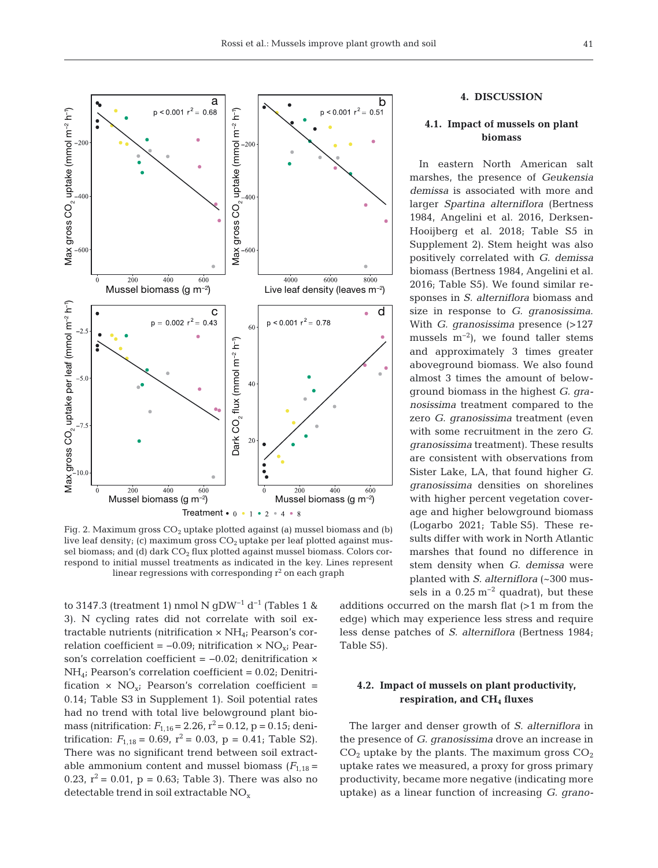

Fig. 2. Maximum gross  $CO<sub>2</sub>$  uptake plotted against (a) mussel biomass and (b) live leaf density; (c) maximum gross  $CO<sub>2</sub>$  uptake per leaf plotted against mussel biomass; and (d) dark  $CO<sub>2</sub>$  flux plotted against mussel biomass. Colors correspond to initial mussel treatments as indicated in the key. Lines represent linear regressions with corresponding  $\mathrm{r}^2$  on each graph

to 3147.3 (treatment 1) nmol N gDW<sup>-1</sup> d<sup>-1</sup> (Tables 1 & 3). N cycling rates did not correlate with soil extractable nutrients (nitrification  $\times$  NH<sub>4</sub>; Pearson's correlation coefficient =  $-0.09$ ; nitrification × NO<sub>x</sub>; Pearson's correlation coefficient = −0.02; denitrification ×  $NH_{4}$ ; Pearson's correlation coefficient = 0.02; Denitrification  $\times$  NO<sub>xi</sub> Pearson's correlation coefficient = 0.14; Table S3 in Supplement 1). Soil potential rates had no trend with total live belowground plant biomass (nitrification:  $F_{1,16} = 2.26$ ,  $r^2 = 0.12$ ,  $p = 0.15$ ; denitrification:  $F_{1,18} = 0.69$ ,  $r^2 = 0.03$ ,  $p = 0.41$ ; Table S2). There was no significant trend between soil extractable ammonium content and mussel biomass  $(F<sub>1,18</sub> =$ 0.23,  $r^2 = 0.01$ ,  $p = 0.63$ ; Table 3). There was also no detectable trend in soil extractable NO<sub>x</sub>

# **4. DISCUSSION**

# **4.1. Impact of mussels on plant biomass**

In eastern North American salt marshes, the presence of *Geukensia demissa* is associated with more and larger *Spartina alterniflora* (Bertness 1984, Angelini et al. 2016, Derksen-Hooijberg et al. 2018; Table S5 in Supplement 2). Stem height was also positively correlated with *G. demissa* biomass (Bertness 1984, Angelini et al. 2016; Table S5). We found similar responses in *S. alterniflora* biomass and size in response to *G. granosissima*. With *G. granosissima* presence (>127 mussels  $m^{-2}$ ), we found taller stems and approximately 3 times greater aboveground biomass. We also found almost 3 times the amount of belowground biomass in the highest *G. granosissima* treatment compared to the zero *G. granosissima* treatment (even with some recruitment in the zero *G. granosissima* treatment). These results are consistent with observations from Sister Lake, LA, that found higher *G. granosissima* densities on shorelines with higher percent vegetation coverage and higher below ground biomass (Logarbo 2021; Table S5). These re sults differ with work in North Atlantic marshes that found no difference in stem density when *G. demissa* were planted with *S. alterniflora* (~300 mussels in a  $0.25 \text{ m}^{-2}$  quadrat), but these

additions occurred on the marsh flat  $(>1$  m from the edge) which may experience less stress and require less dense patches of *S. alterniflora* (Bertness 1984; Table S5).

## **4.2. Impact of mussels on plant productivity, respiration, and CH4 fluxes**

The larger and denser growth of *S. alterniflora* in the presence of *G. granosissima* drove an increase in  $CO<sub>2</sub>$  uptake by the plants. The maximum gross  $CO<sub>2</sub>$ uptake rates we measured, a proxy for gross primary productivity, became more negative (indicating more uptake) as a linear function of increasing *G. grano -*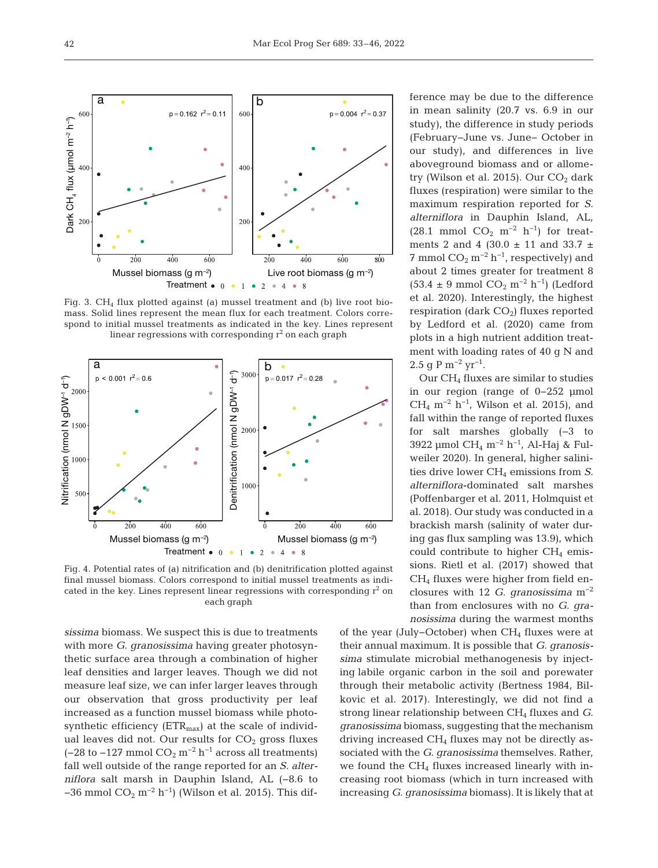

Fig. 3. CH<sub>4</sub> flux plotted against (a) mussel treatment and (b) live root biomass. Solid lines represent the mean flux for each treatment. Colors correspond to initial mussel treatments as indicated in the key. Lines represent linear regressions with corresponding  $\mathrm{r}^2$  on each graph



Fig. 4. Potential rates of (a) nitrification and (b) denitrification plotted against final mussel biomass. Colors correspond to initial mussel treatments as indicated in the key. Lines represent linear regressions with corresponding  $r^2$  on each graph

*sis sima* biomass. We suspect this is due to treatments with more *G. granosissima* having greater photosynthetic surface area through a combination of higher leaf densities and larger leaves. Though we did not measure leaf size, we can infer larger leaves through our observation that gross productivity per leaf increased as a function mussel biomass while photosynthetic efficiency  $(ETR<sub>max</sub>)$  at the scale of individual leaves did not. Our results for  $CO<sub>2</sub>$  gross fluxes (-28 to -127 mmol  $CO_2$  m<sup>-2</sup> h<sup>-1</sup> across all treatments) fall well outside of the range reported for an *S. alter niflora* salt marsh in Dauphin Island, AL (−8.6 to −36 mmol  $CO_2$  m<sup>−2</sup> h<sup>−1</sup>) (Wilson et al. 2015). This difference may be due to the difference in mean salinity (20.7 vs. 6.9 in our study), the difference in study periods (February−June vs. June− October in our study), and differences in live aboveground biomass and or allometry (Wilson et al. 2015). Our  $CO<sub>2</sub>$  dark fluxes (respiration) were similar to the maximum respiration reported for *S. alterniflora* in Dauphin Island, AL, (28.1 mmol  $CO_2$  m<sup>-2</sup> h<sup>-1</sup>) for treatments 2 and 4 (30.0  $\pm$  11 and 33.7  $\pm$ 7 mmol  $CO_2$  m<sup>-2</sup> h<sup>-1</sup>, respectively) and about 2 times greater for treatment 8  $(53.4 \pm 9 \text{ mmol CO}_2 \text{ m}^{-2} \text{ h}^{-1})$  (Ledford et al. 2020). Interestingly, the highest respiration (dark  $CO<sub>2</sub>$ ) fluxes reported by Ledford et al. (2020) came from plots in a high nutrient addition treatment with loading rates of 40 g N and 2.5 q P m<sup>-2</sup> yr<sup>-1</sup>.

Our  $CH_4$  fluxes are similar to studies in our region (range of 0−252 μmol CH<sub>4</sub> m<sup>-2</sup> h<sup>-1</sup>, Wilson et al. 2015), and fall within the range of reported fluxes for salt marshes globally (−3 to 3922 μmol CH4 m−2 h−1, Al-Haj & Fulweiler 2020). In general, higher salinities drive lower CH<sub>4</sub> emissions from *S*. *alterniflora*-dominated salt marshes (Poffenbarger et al. 2011, Holmquist et al. 2018). Our study was conducted in a brackish marsh (salinity of water during gas flux sampling was 13.9), which could contribute to higher  $CH<sub>4</sub>$  emissions. Rietl et al. (2017) showed that CH4 fluxes were higher from field enclosures with 12 *G. granosissima* m−2 than from enclosures with no *G. granosissima* during the warmest months

of the year (July–October) when CH<sub>4</sub> fluxes were at their annual maximum. It is possible that *G. granosissima* stimulate microbial methanogenesis by injecting labile organic carbon in the soil and porewater through their metabolic activity (Bertness 1984, Bilkovic et al. 2017). Interestingly, we did not find a strong linear relationship between CH<sub>4</sub> fluxes and *G*. *granosissima* biomass, suggesting that the mechanism driving increased  $CH<sub>4</sub>$  fluxes may not be directly associated with the *G. granosissima* themselves. Rather, we found the  $CH<sub>4</sub>$  fluxes increased linearly with increasing root biomass (which in turn increased with in creasing *G. granosissima* biomass). It is likely that at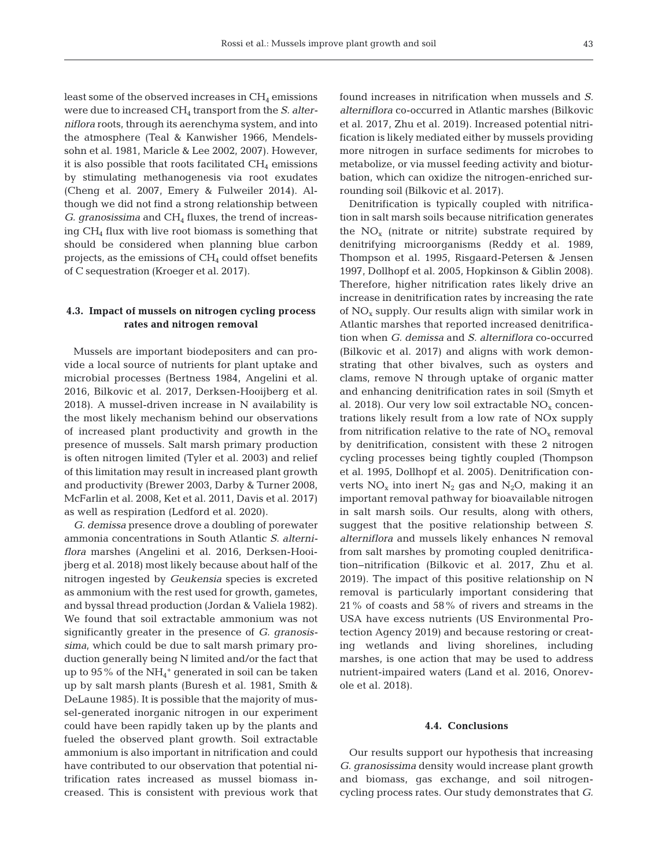43

least some of the observed increases in  $CH_4$  emissions were due to increased CH4 transport from the *S. alter niflora* roots, through its aerenchyma system, and into the atmosphere (Teal & Kanwisher 1966, Mendelssohn et al. 1981, Maricle & Lee 2002, 2007). However, it is also possible that roots facilitated  $CH<sub>4</sub>$  emissions by stimulating methanogenesis via root exudates (Cheng et al. 2007, Emery & Fulweiler 2014). Although we did not find a strong relationship between *G. granosissima* and CH<sub>4</sub> fluxes, the trend of increasing CH4 flux with live root biomass is something that should be considered when planning blue carbon projects, as the emissions of  $CH<sub>4</sub>$  could offset benefits of C sequestration (Kroeger et al. 2017).

## **4.3. Impact of mussels on nitrogen cycling process rates and nitrogen removal**

Mussels are important biodepositers and can provide a local source of nutrients for plant uptake and microbial processes (Bertness 1984, Angelini et al. 2016, Bilkovic et al. 2017, Derksen-Hooijberg et al. 2018). A mussel-driven increase in N availability is the most likely mechanism behind our observations of increased plant productivity and growth in the presence of mussels. Salt marsh primary production is often nitrogen limited (Tyler et al. 2003) and relief of this limitation may result in increased plant growth and productivity (Brewer 2003, Darby & Turner 2008, McFarlin et al. 2008, Ket et al. 2011, Davis et al. 2017) as well as respiration (Ledford et al. 2020).

*G. demissa* presence drove a doubling of pore water ammonia concentrations in South Atlantic *S. alterniflora* marshes (Angelini et al. 2016, Derksen-Hooijberg et al. 2018) most likely because about half of the nitrogen ingested by *Geukensia* species is excreted as ammonium with the rest used for growth, gametes, and byssal thread production (Jordan & Valiela 1982). We found that soil extractable ammonium was not significantly greater in the presence of *G. granosissima*, which could be due to salt marsh primary production generally being N limited and/or the fact that up to  $95\,\%$  of the  $\mathrm{NH}_4{}^+$  generated in soil can be taken up by salt marsh plants (Buresh et al. 1981, Smith & DeLaune 1985). It is possible that the majority of mussel-generated inorganic nitrogen in our experiment could have been rapidly taken up by the plants and fueled the observed plant growth. Soil extractable ammonium is also important in nitrification and could have contributed to our observation that potential nitrification rates increased as mussel biomass increased. This is consistent with previous work that

found increases in nitrification when mussels and *S. alterniflora* co-occurred in Atlantic marshes (Bilkovic et al. 2017, Zhu et al. 2019). Increased potential nitrification is likely mediated either by mussels providing more nitrogen in surface sediments for microbes to metabolize, or via mussel feeding activity and bioturbation, which can oxidize the nitrogen-enriched surrounding soil (Bilkovic et al. 2017).

Denitrification is typically coupled with nitrification in salt marsh soils because nitrification generates the  $NO<sub>x</sub>$  (nitrate or nitrite) substrate required by denitrifying microorganisms (Reddy et al. 1989, Thompson et al. 1995, Risgaard-Petersen & Jensen 1997, Dollhopf et al. 2005, Hopkinson & Giblin 2008). Therefore, higher nitrification rates likely drive an increase in denitrification rates by increasing the rate of  $NO<sub>x</sub>$  supply. Our results align with similar work in Atlantic marshes that reported increased denitrification when *G. demissa* and *S. alterniflora* co-occurred (Bilkovic et al. 2017) and aligns with work demonstrating that other bivalves, such as oysters and clams, remove N through uptake of organic matter and enhancing denitrification rates in soil (Smyth et al. 2018). Our very low soil extractable  $NO<sub>x</sub>$  concentrations likely result from a low rate of NOx supply from nitrification relative to the rate of  $NO<sub>x</sub>$  removal by denitrification, consistent with these 2 nitrogen cycling processes being tightly coupled (Thompson et al. 1995, Dollhopf et al. 2005). Denitrification converts  $NO_x$  into inert  $N_2$  gas and  $N_2O$ , making it an important removal pathway for bioavailable nitrogen in salt marsh soils. Our results, along with others, suggest that the positive relationship between *S. alterniflora* and mussels likely enhances N removal from salt marshes by promoting coupled denitrification−nitrification (Bilkovic et al. 2017, Zhu et al. 2019). The impact of this positive relationship on N removal is particularly important considering that 21% of coasts and 58% of rivers and streams in the USA have excess nutrients (US Environmental Protection Agency 2019) and because restoring or creating wetlands and living shorelines, including marshes, is one action that may be used to address nutrient-impaired waters (Land et al. 2016, Onorevole et al. 2018).

## **4.4. Conclusions**

Our results support our hypothesis that increasing *G. granosissima* density would increase plant growth and biomass, gas exchange, and soil nitrogencycling process rates. Our study demonstrates that *G.*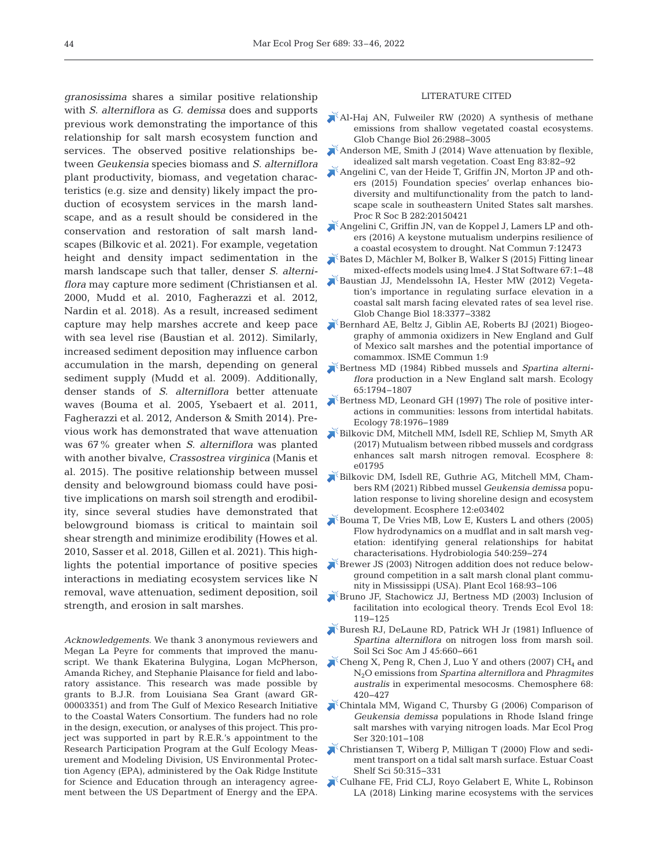*granosissima* shares a similar positive relationship with *S. alterniflora* as *G. demissa* does and supports previous work demonstrating the importance of this relationship for salt marsh ecosystem function and services. The observed positive relationships be tween *Geukensia* species biomass and *S. alterniflora* plant productivity, biomass, and vegetation characteristics (e.g. size and density) likely impact the production of ecosystem services in the marsh landscape, and as a result should be considered in the conservation and restoration of salt marsh landscapes (Bilkovic et al. 2021). For example, vegetation height and density impact sedimentation in the marsh landscape such that taller, denser *S. alterniflora* may capture more sediment (Christiansen et al. 2000, Mudd et al. 2010, Fagherazzi et al. 2012, Nardin et al. 2018). As a result, increased sediment capture may help marshes accrete and keep pace with sea level rise (Baustian et al. 2012). Similarly, increased sediment deposition may influence carbon accumulation in the marsh, depending on general sediment supply (Mudd et al. 2009). Additionally, denser stands of *S. alterniflora* better attenuate waves (Bouma et al. 2005, Ysebaert et al. 2011, Fagherazzi et al. 2012, Anderson & Smith 2014). Previous work has demonstrated that wave attenuation was 67% greater when *S. alterniflora* was planted with another bivalve, *Crassostrea virginica* (Manis et al. 2015). The positive relationship between mussel density and belowground biomass could have positive implications on marsh soil strength and erodibility, since several studies have demonstrated that belowground biomass is critical to maintain soil shear strength and minimize erodibility (Howes et al. 2010, Sasser et al. 2018, Gillen et al. 2021). This highlights the potential importance of positive species interactions in mediating ecosystem services like N removal, wave attenuation, sediment deposition, soil strength, and erosion in salt marshes.

*Acknowledgements*. We thank 3 anonymous reviewers and Megan La Peyre for comments that improved the manuscript. We thank Ekaterina Bulygina, Logan McPherson, Amanda Richey, and Stephanie Plaisance for field and laboratory assistance. This research was made possible by grants to B.J.R. from Louisiana Sea Grant (award GR-00003351) and from The Gulf of Mexico Research Initiative to the Coastal Waters Consortium. The funders had no role in the design, execution, or analyses of this project. This project was supported in part by R.E.R.'s appointment to the Research Participation Program at the Gulf Ecology Measurement and Modeling Division, US Environmental Protection Agency (EPA), administered by the Oak Ridge Institute for Science and Education through an interagency agreement between the US Department of Energy and the EPA.

#### LITERATURE CITED

- [Al-Haj AN, Fulweiler RW \(2020\) A synthesis of methane](https://doi.org/10.1111/gcb.15046)  emissions from shallow vegetated coastal ecosystems. Glob Change Biol 26: 2988−3005
- $\blacktriangleright$  Anderson ME, Smith J (2014) Wave attenuation by flexible, idealized salt marsh vegetation. Coast Eng 83: 82−92
- $\zeta$ [Angelini C, van der Heide T, Griffin JN, Morton JP and oth](https://doi.org/10.1098/rspb.2015.0421)ers (2015) Foundation species' overlap enhances biodiversity and multifunctionality from the patch to landscape scale in southeastern United States salt marshes. Proc R Soc B 282:20150421
- [Angelini C, Griffin JN, van de Koppel J, Lamers LP and oth](https://doi.org/10.1038/ncomms12473)ers (2016) A keystone mutualism underpins resilience of a coastal ecosystem to drought. Nat Commun 7: 12473
- [Bates D, Mächler M, Bolker B, Walker S \(2015\) Fitting linear](https://doi.org/10.18637/jss.v067.i01)  mixed-effects models using lme4. J Stat Software 67: 1−48
- [Baustian JJ, Mendelssohn IA, Hester MW \(2012\) Vegeta](https://doi.org/10.1111/j.1365-2486.2012.02792.x)tion's importance in regulating surface elevation in a coastal salt marsh facing elevated rates of sea level rise. Glob Change Biol 18: 3377−3382
- Bernhard AE, Beltz J, Giblin AE, Roberts BJ (2021) Biogeography of ammonia oxidizers in New England and Gulf of Mexico salt marshes and the potential importance of comammox. ISME Commun 1:9
- [Bertness MD \(1984\) Ribbed mussels and](https://doi.org/10.2307/1937776) *Spartina alterniflora* production in a New England salt marsh. Ecology 65: 1794−1807
- [Bertness MD, Leonard GH \(1997\) The role of positive inter](https://doi.org/10.1890/0012-9658(1997)078%5b1976%3ATROPII%5d2.0.CO%3B2)actions in communities: lessons from intertidal habitats. Ecology 78: 1976−1989
- [Bilkovic DM, Mitchell MM, Isdell RE, Schliep M, Smyth AR](https://doi.org/10.1002/ecs2.1795)  (2017) Mutualism between ribbed mussels and cordgrass enhances salt marsh nitrogen removal. Ecosphere 8: e01795
- [Bilkovic DM, Isdell RE, Guthrie AG, Mitchell MM, Cham](https://doi.org/10.1002/ecs2.3402)bers RM (2021) Ribbed mussel *Geukensia demissa* population response to living shoreline design and ecosystem development. Ecosphere 12:e03402
- [Bouma T, De Vries MB, Low E, Kusters L and others \(2005\)](https://doi.org/10.1007/s10750-004-7149-0)  Flow hydrodynamics on a mudflat and in salt marsh vegetation: identifying general relationships for habitat characterisations. Hydrobiologia 540: 259−274
- [Brewer JS \(2003\) Nitrogen addition does not reduce below](https://doi.org/10.1023/A%3A1024478714291)ground competition in a salt marsh clonal plant community in Mississippi (USA). Plant Ecol 168:93-106
- [Bruno JF, Stachowicz JJ, Bertness MD \(2003\) Inclusion of](https://doi.org/10.1016/S0169-5347(02)00045-9)  facilitation into ecological theory. Trends Ecol Evol 18: 119−125
- [Buresh RJ, DeLaune RD, Patrick WH Jr \(1981\) Influence of](https://doi.org/10.2136/sssaj1981.03615995004500030045x)  *Spartina alterniflora* on nitrogen loss from marsh soil. Soil Sci Soc Am J 45:660-661
- $\blacktriangleright$  Cheng X, Peng R, Chen J, Luo Y and others (2007) CH<sub>4</sub> and N2O emissions from *Spartina alterniflora* and *Phragmites australis* in experimental mesocosms. Chemosphere 68: 420−427
- [Chintala MM, Wigand C, Thursby G \(2006\) Comparison of](https://doi.org/10.3354/meps320101)  *Geukensia demissa* populations in Rhode Island fringe salt marshes with varying nitrogen loads. Mar Ecol Prog Ser 320: 101−108
- [Christiansen T, Wiberg P, Milligan T \(2000\) Flow and sedi](https://doi.org/10.1006/ecss.2000.0548)ment transport on a tidal salt marsh surface. Estuar Coast Shelf Sci 50: 315−331
- [Culhane FE, Frid CLJ, Royo Gelabert E, White L, Robinson](https://doi.org/10.1002/eap.1779)  LA (2018) Linking marine ecosystems with the services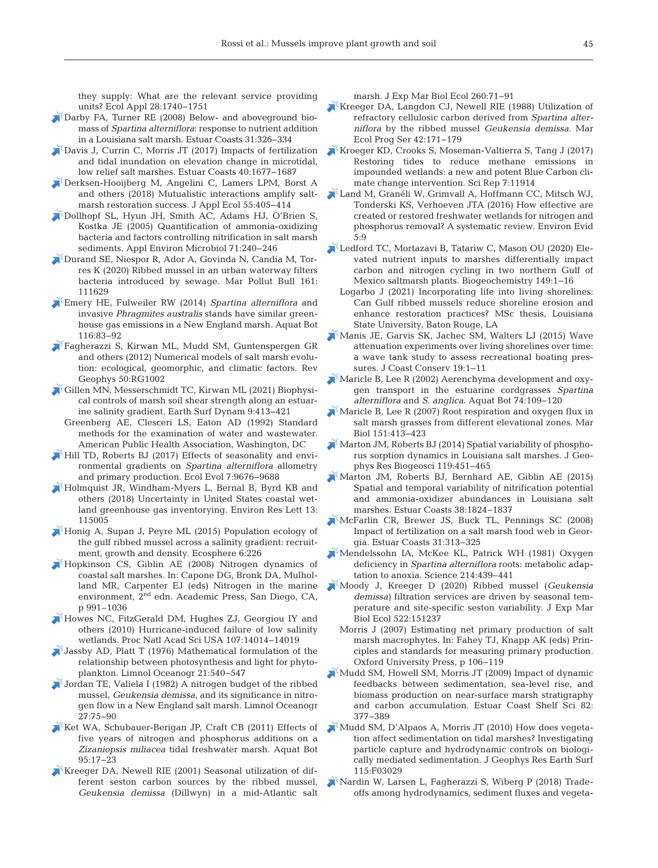they supply: What are the relevant service providing units? Ecol Appl 28: 1740−1751

- [Darby FA, Turner RE \(2008\) Below- and aboveground bio](https://doi.org/10.1007/s12237-008-9037-8)mass of *Spartina alterniflora*: response to nutrient addition in a Louisiana salt marsh. Estuar Coasts 31: 326−334
- [Davis J, Currin C, Morris JT \(2017\) Impacts of fertilization](https://doi.org/10.1007/s12237-017-0251-0)  and tidal inundation on elevation change in microtidal, low relief salt marshes. Estuar Coasts 40: 1677−1687
- [Derksen-Hooijberg M, Angelini C, Lamers LPM, Borst A](https://doi.org/10.1111/1365-2664.12960)  and others (2018) Mutualistic interactions amplify saltmarsh restoration success. J Appl Ecol 55:405-414
- [Dollhopf SL, Hyun JH, Smith AC, Adams HJ, O'Brien S,](https://doi.org/10.1128/AEM.71.1.240-246.2005)  Kostka JE (2005) Quantification of ammonia-oxidizing bacteria and factors controlling nitrification in salt marsh sediments. Appl Environ Microbiol 71:240-246
- [Durand SE, Niespor R, Ador A, Govinda N, Candia M, Tor](https://doi.org/10.1016/j.marpolbul.2020.111629)res K (2020) Ribbed mussel in an urban waterway filters bacteria introduced by sewage. Mar Pollut Bull 161: 111629
- [Emery HE, Fulweiler RW \(2014\)](https://doi.org/10.1016/j.aquabot.2014.01.010) *Spartina alterniflora* and invasive *Phragmites australis* stands have similar greenhouse gas emissions in a New England marsh. Aquat Bot 116: 83−92
- [Fagherazzi S, Kirwan ML, Mudd SM, Guntenspergen GR](https://doi.org/10.1029/2011RG000359)  and others (2012) Numerical models of salt marsh evolution: ecological, geomorphic, and climatic factors. Rev Geophys 50:RG1002
- [Gillen MN, Messerschmidt TC, Kirwan ML \(2021\) Biophysi](https://doi.org/10.5194/esurf-9-413-2021)cal controls of marsh soil shear strength along an estuarine salinity gradient. Earth Surf Dynam 9:413-421
- Greenberg AE, Clesceri LS, Eaton AD (1992) Standard methods for the examination of water and wastewater. American Public Health Association, Washington, DC
- [Hill TD, Roberts BJ \(2017\) Effects of seasonality and envi](https://doi.org/10.1002/ece3.3494)ronmental gradients on *Spartina alterniflora* allometry and primary production. Ecol Evol 7: 9676−9688
- [Holmquist JR, Windham-Myers L, Bernal B, Byrd KB and](https://doi.org/10.1088/1748-9326/aae157)  others (2018) Uncertainty in United States coastal wetland greenhouse gas inventorying. Environ Res Lett 13: 115005
- [Honig A, Supan J, Peyre ML \(2015\) Population ecology of](https://doi.org/10.1890/ES14-00499.1)  the gulf ribbed mussel across a salinity gradient: recruitment, growth and density. Ecosphere 6:226
- [Hopkinson CS, Giblin AE \(2008\) Nitrogen dynamics of](https://doi.org/10.1016/B978-0-12-372522-6.00022-0)  coastal salt marshes. In:Capone DG, Bronk DA, Mulholland MR, Carpenter EJ (eds) Nitrogen in the marine environment, 2nd edn. Academic Press, San Diego, CA, p 991–1036
- [Howes NC, FitzGerald DM, Hughes ZJ, Georgiou IY and](https://doi.org/10.1073/pnas.0914582107)  others (2010) Hurricane-induced failure of low salinity wetlands. Proc Natl Acad Sci USA 107: 14014−14019
- $\mathbb{I}$  Jassby AD, Platt T (1976) Mathematical formulation of the relationship between photosynthesis and light for phytoplankton. Limnol Oceanogr 21:540-547
- [Jordan TE, Valiela I \(1982\) A nitrogen budget of the ribbed](https://doi.org/10.4319/lo.1982.27.1.0075)  mussel, *Geukensia demissa*, and its significance in nitrogen flow in a New England salt marsh. Limnol Oceanogr 27: 75−90
- Ket WA, Schubauer-Berigan JP, Craft CB (2011) Effects of five years of nitrogen and phosphorus additions on a *Zizaniopsis miliacea* tidal freshwater marsh. Aquat Bot 95: 17−23
- [Kreeger DA, Newell RIE \(2001\) Seasonal utilization of dif](https://doi.org/10.1016/S0022-0981(01)00242-8)ferent seston carbon sources by the ribbed mussel, *Geukensia demissa* (Dillwyn) in a mid-Atlantic salt

marsh. J Exp Mar Biol Ecol 260:71−91

- $K$ Kreeger DA, Langdon CJ, Newell RIE (1988) Utilization of refractory cellulosic carbon derived from *Spartina alter ni flora* by the ribbed mussel *Geukensia demissa*. Mar Ecol Prog Ser 42: 171−179
- Kroeger KD, Crooks S, Moseman-Valtierra S, Tang J (2017) Restoring tides to reduce methane emissions in impounded wetlands: a new and potent Blue Carbon climate change intervention. Sci Rep 7:11914
- [Land M, Granéli W, Grimvall A, Hoffmann CC, Mitsch WJ,](https://doi.org/10.1186/s13750-016-0060-0)  Tonderski KS, Verhoeven JTA (2016) How effective are created or restored freshwater wetlands for nitrogen and phosphorus removal? A systematic review. Environ Evid 5: 9
- [Ledford TC, Mortazavi B, Tatariw C, Mason OU \(2020\) Ele](https://doi.org/10.1007/s10533-020-00656-9)vated nutrient inputs to marshes differentially impact carbon and nitrogen cycling in two northern Gulf of Mexico saltmarsh plants. Biogeochemistry 149:1-16
- Logarbo J (2021) Incorporating life into living shorelines: Can Gulf ribbed mussels reduce shoreline erosion and enhance restoration practices? MSc thesis, Louisiana State University, Baton Rouge, LA
- [Manis JE, Garvis SK, Jachec SM, Walters LJ \(2015\) Wave](https://doi.org/10.1007/s11852-014-0349-5)  attenuation experiments over living shorelines over time: a wave tank study to assess recreational boating pressures. J Coast Conserv 19:1-11
- [Maricle B, Lee R \(2002\) Aerenchyma development and oxy](https://doi.org/10.1016/S0304-3770(02)00051-7)gen transport in the estuarine cordgrasses *Spartina alterniflora* and *S. anglica*. Aquat Bot 74: 109−120
- Maricle B, Lee R  $(2007)$  Root respiration and oxygen flux in salt marsh grasses from different elevational zones. Mar Biol 151:413-423
- [Marton JM, Roberts BJ \(2014\) Spatial variability of phospho](https://doi.org/10.1002/2013JG002486)rus sorption dynamics in Louisiana salt marshes. J Geophys Res Biogeosci 119: 451−465
- [Marton JM, Roberts BJ, Bernhard AE, Giblin AE \(2015\)](https://doi.org/10.1007/s12237-015-9943-5)  Spatial and temporal variability of nitrification potential and ammonia-oxidizer abundances in Louisiana salt marshes. Estuar Coasts 38: 1824−1837
- [McFarlin CR, Brewer JS, Buck TL, Pennings SC \(2008\)](https://doi.org/10.1007/s12237-008-9036-9)  Impact of fertilization on a salt marsh food web in Georgia. Estuar Coasts 31: 313−325
- [Mendelssohn IA, McKee KL, Patrick WH \(1981\) Oxygen](https://doi.org/10.1126/science.214.4519.439)  deficiency in *Spartina alterniflora* roots: metabolic adaptation to anoxia. Science 214: 439−441
- [Moody J, Kreeger D \(2020\) Ribbed mussel \(](https://doi.org/10.1016/j.jembe.2019.151237)*Geukensia demissa)* filtration services are driven by seasonal temperature and site-specific seston variability. J Exp Mar Biol Ecol 522: 151237
- Morris J (2007) Estimating net primary production of salt marsh macrophytes. In:Fahey TJ, Knapp AK (eds) Principles and standards for measuring primary production. Oxford University Press, p 106−119
- [Mudd SM, Howell SM, Morris JT \(2009\) Impact of dynamic](https://doi.org/10.1016/j.ecss.2009.01.028)  feedbacks between sedimentation, sea-level rise, and biomass production on near-surface marsh stratigraphy and carbon accumulation. Estuar Coast Shelf Sci 82: 377−389
- [Mudd SM, D'Alpaos A, Morris JT \(2010\) How does vegeta](https://doi.org/10.1029/2009JF001566)tion affect sedimentation on tidal marshes? Investigating particle capture and hydrodynamic controls on biologically mediated sedimentation. J Geophys Res Earth Surf 115: F03029
- [Nardin W, Larsen L, Fagherazzi S, Wiberg P \(2018\) Trade](https://doi.org/10.1016/j.ecss.2018.06.009)offs among hydrodynamics, sediment fluxes and vegeta-